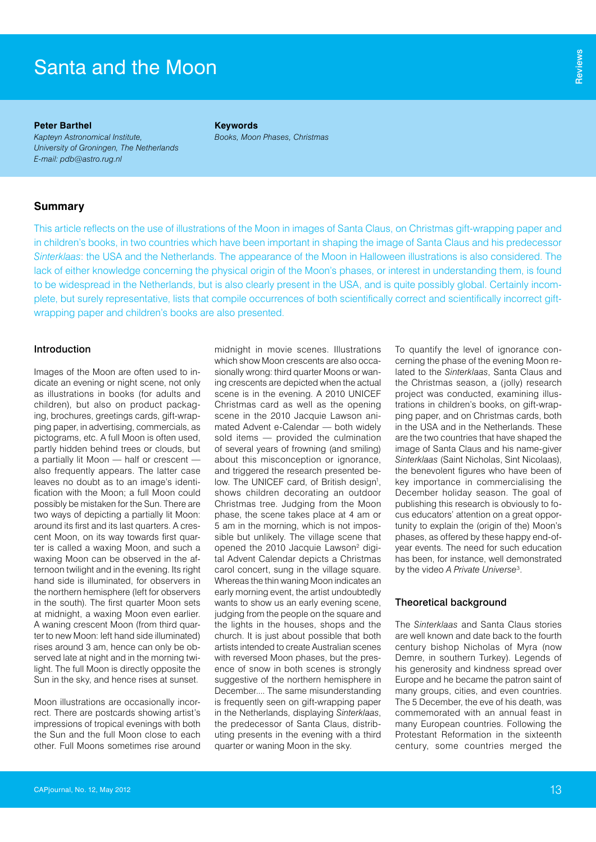**Peter Barthel** *Kapteyn Astronomical Institute, University of Groningen, The Netherlands E-mail: pdb@astro.rug.nl*

**Keywords** *Books, Moon Phases, Christmas*

# **Summary**

This article reflects on the use of illustrations of the Moon in images of Santa Claus, on Christmas gift-wrapping paper and in children's books, in two countries which have been important in shaping the image of Santa Claus and his predecessor *Sinterklaas*: the USA and the Netherlands. The appearance of the Moon in Halloween illustrations is also considered. The lack of either knowledge concerning the physical origin of the Moon's phases, or interest in understanding them, is found to be widespread in the Netherlands, but is also clearly present in the USA, and is quite possibly global. Certainly incomplete, but surely representative, lists that compile occurrences of both scientifically correct and scientifically incorrect giftwrapping paper and children's books are also presented.

## Introduction

Images of the Moon are often used to indicate an evening or night scene, not only as illustrations in books (for adults and children), but also on product packaging, brochures, greetings cards, gift-wrapping paper, in advertising, commercials, as pictograms, etc. A full Moon is often used, partly hidden behind trees or clouds, but a partially lit Moon — half or crescent also frequently appears. The latter case leaves no doubt as to an image's identification with the Moon; a full Moon could possibly be mistaken for the Sun. There are two ways of depicting a partially lit Moon: around its first and its last quarters. A crescent Moon, on its way towards first quarter is called a waxing Moon, and such a waxing Moon can be observed in the afternoon twilight and in the evening. Its right hand side is illuminated, for observers in the northern hemisphere (left for observers in the south). The first quarter Moon sets at midnight, a waxing Moon even earlier. A waning crescent Moon (from third quarter to new Moon: left hand side illuminated) rises around 3 am, hence can only be observed late at night and in the morning twilight. The full Moon is directly opposite the Sun in the sky, and hence rises at sunset. **Stantia and the Moon May the Moon May 2012 Santa and the Moon May a moreover the Supyr Advantage metallity (Although The Motherlands Change the University of Groningen, The Motherlands Ernal: pub@asto.org.n!<br>
Summarry Thi** 

Moon illustrations are occasionally incorrect. There are postcards showing artist's impressions of tropical evenings with both the Sun and the full Moon close to each other. Full Moons sometimes rise around midnight in movie scenes. Illustrations which show Moon crescents are also occasionally wrong: third quarter Moons or waning crescents are depicted when the actual scene is in the evening. A 2010 UNICEF Christmas card as well as the opening scene in the 2010 Jacquie Lawson animated Advent e-Calendar — both widely sold items — provided the culmination of several years of frowning (and smiling) about this misconception or ignorance, and triggered the research presented below. The UNICEF card, of British design<sup>1</sup>, shows children decorating an outdoor Christmas tree. Judging from the Moon phase, the scene takes place at 4 am or 5 am in the morning, which is not impossible but unlikely. The village scene that opened the 2010 Jacquie Lawson<sup>2</sup> digital Advent Calendar depicts a Christmas carol concert, sung in the village square. Whereas the thin waning Moon indicates an early morning event, the artist undoubtedly wants to show us an early evening scene, judging from the people on the square and the lights in the houses, shops and the church. It is just about possible that both artists intended to create Australian scenes with reversed Moon phases, but the presence of snow in both scenes is strongly suggestive of the northern hemisphere in December.... The same misunderstanding is frequently seen on gift-wrapping paper in the Netherlands, displaying *Sinterklaas*, the predecessor of Santa Claus, distributing presents in the evening with a third quarter or waning Moon in the sky.

To quantify the level of ignorance concerning the phase of the evening Moon related to the *Sinterklaas*, Santa Claus and the Christmas season, a (jolly) research project was conducted, examining illustrations in children's books, on gift-wrapping paper, and on Christmas cards, both in the USA and in the Netherlands. These are the two countries that have shaped the image of Santa Claus and his name-giver *Sinterklaas* (Saint Nicholas, Sint Nicolaas), the benevolent figures who have been of key importance in commercialising the December holiday season. The goal of publishing this research is obviously to focus educators' attention on a great opportunity to explain the (origin of the) Moon's phases, as offered by these happy end-ofyear events. The need for such education has been, for instance, well demonstrated by the video *A Private Universe*<sup>3</sup> .

## Theoretical background

The *Sinterklaas* and Santa Claus stories are well known and date back to the fourth century bishop Nicholas of Myra (now Demre, in southern Turkey). Legends of his generosity and kindness spread over Europe and he became the patron saint of many groups, cities, and even countries. The 5 December, the eve of his death, was commemorated with an annual feast in many European countries. Following the Protestant Reformation in the sixteenth century, some countries merged the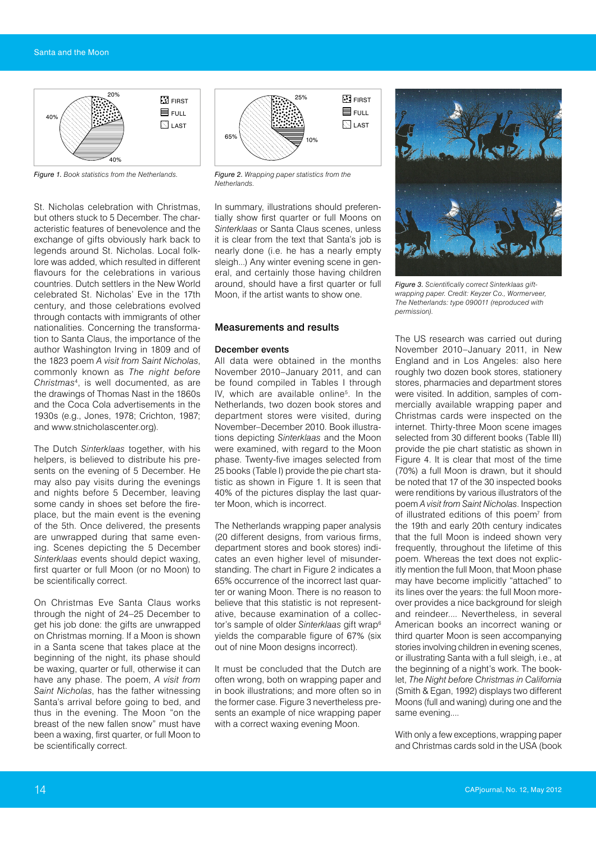

*Figure 1. Book statistics from the Netherlands.*

St. Nicholas celebration with Christmas, but others stuck to 5 December. The characteristic features of benevolence and the exchange of gifts obviously hark back to legends around St. Nicholas. Local folklore was added, which resulted in different flavours for the celebrations in various countries. Dutch settlers in the New World celebrated St. Nicholas' Eve in the 17th century, and those celebrations evolved through contacts with immigrants of other nationalities. Concerning the transformation to Santa Claus, the importance of the author Washington Irving in 1809 and of the 1823 poem *A visit from Saint Nicholas*, commonly known as *The night before Christmas*<sup>4</sup> , is well documented, as are the drawings of Thomas Nast in the 1860s and the Coca Cola advertisements in the 1930s (e.g., Jones, 1978; Crichton, 1987; and www.stnicholascenter.org).

The Dutch *Sinterklaas* together, with his helpers, is believed to distribute his presents on the evening of 5 December. He may also pay visits during the evenings and nights before 5 December, leaving some candy in shoes set before the fireplace, but the main event is the evening of the 5th. Once delivered, the presents are unwrapped during that same evening. Scenes depicting the 5 December *Sinterklaas* events should depict waxing, first quarter or full Moon (or no Moon) to be scientifically correct.

On Christmas Eve Santa Claus works through the night of 24–25 December to get his job done: the gifts are unwrapped on Christmas morning. If a Moon is shown in a Santa scene that takes place at the beginning of the night, its phase should be waxing, quarter or full, otherwise it can have any phase. The poem, *A visit from Saint Nicholas*, has the father witnessing Santa's arrival before going to bed, and thus in the evening. The Moon "on the breast of the new fallen snow" must have been a waxing, first quarter, or full Moon to be scientifically correct.



*Figure 2. Wrapping paper statistics from the Netherlands.*

In summary, illustrations should preferentially show first quarter or full Moons on *Sinterklaas* or Santa Claus scenes, unless it is clear from the text that Santa's job is nearly done (i.e. he has a nearly empty sleigh...) Any winter evening scene in general, and certainly those having children around, should have a first quarter or full Moon, if the artist wants to show one.

### Measurements and results

### December events

All data were obtained in the months November 2010–January 2011, and can be found compiled in Tables I through IV, which are available online<sup>5</sup>. In the Netherlands, two dozen book stores and department stores were visited, during November–December 2010. Book illustrations depicting *Sinterklaas* and the Moon were examined, with regard to the Moon phase. Twenty-five images selected from 25 books (Table I) provide the pie chart statistic as shown in Figure 1. It is seen that 40% of the pictures display the last quarter Moon, which is incorrect.

The Netherlands wrapping paper analysis (20 different designs, from various firms, department stores and book stores) indicates an even higher level of misunderstanding. The chart in Figure 2 indicates a 65% occurrence of the incorrect last quarter or waning Moon. There is no reason to believe that this statistic is not representative, because examination of a collector's sample of older *Sinterklaas* gift wrap6 yields the comparable figure of 67% (six out of nine Moon designs incorrect).

It must be concluded that the Dutch are often wrong, both on wrapping paper and in book illustrations; and more often so in the former case. Figure 3 nevertheless presents an example of nice wrapping paper with a correct waxing evening Moon.



*Figure 3. Scientifically correct Sinterklaas giftwrapping paper. Credit: Keyzer Co., Wormerveer, The Netherlands: type 090011 (reproduced with permission).*

The US research was carried out during November 2010–January 2011, in New England and in Los Angeles: also here roughly two dozen book stores, stationery stores, pharmacies and department stores were visited. In addition, samples of commercially available wrapping paper and Christmas cards were inspected on the internet. Thirty-three Moon scene images selected from 30 different books (Table III) provide the pie chart statistic as shown in Figure 4. It is clear that most of the time (70%) a full Moon is drawn, but it should be noted that 17 of the 30 inspected books were renditions by various illustrators of the poem *A visit from Saint Nicholas*. Inspection of illustrated editions of this poem<sup>7</sup> from the 19th and early 20th century indicates that the full Moon is indeed shown very frequently, throughout the lifetime of this poem. Whereas the text does not explicitly mention the full Moon, that Moon phase may have become implicitly "attached" to its lines over the years: the full Moon moreover provides a nice background for sleigh and reindeer.... Nevertheless, in several American books an incorrect waning or third quarter Moon is seen accompanying stories involving children in evening scenes, or illustrating Santa with a full sleigh, i.e., at the beginning of a night's work. The booklet, *The Night before Christmas in California* (Smith & Egan, 1992) displays two different Moons (full and waning) during one and the same evening....

With only a few exceptions, wrapping paper and Christmas cards sold in the USA (book